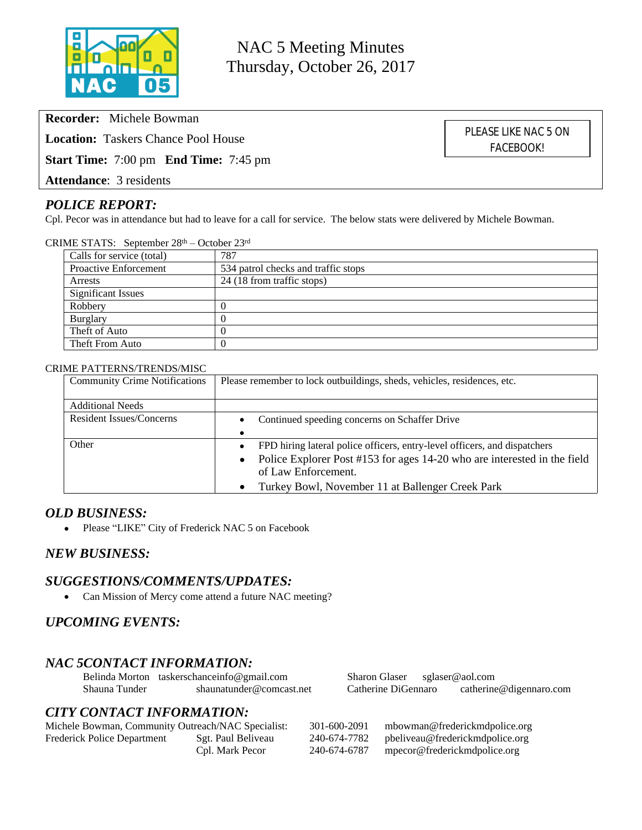

NAC 5 Meeting Minutes Thursday, October 26, 2017

**Recorder:** Michele Bowman

**Location:** Taskers Chance Pool House

**Start Time:** 7:00 pm **End Time:** 7:45 pm

**Attendance**: 3 residents

## *POLICE REPORT:*

Cpl. Pecor was in attendance but had to leave for a call for service. The below stats were delivered by Michele Bowman.

CRIME STATS: September 28th – October 23rd

| Calls for service (total)    | 787                                 |
|------------------------------|-------------------------------------|
| <b>Proactive Enforcement</b> | 534 patrol checks and traffic stops |
| Arrests                      | 24 (18 from traffic stops)          |
| <b>Significant Issues</b>    |                                     |
| Robbery                      |                                     |
| Burglary                     |                                     |
| Theft of Auto                |                                     |
| Theft From Auto              |                                     |

#### CRIME PATTERNS/TRENDS/MISC

| <b>Community Crime Notifications</b> | Please remember to lock outbuildings, sheds, vehicles, residences, etc.               |  |
|--------------------------------------|---------------------------------------------------------------------------------------|--|
| <b>Additional Needs</b>              |                                                                                       |  |
| <b>Resident Issues/Concerns</b>      | Continued speeding concerns on Schaffer Drive                                         |  |
|                                      |                                                                                       |  |
| Other                                | FPD hiring lateral police officers, entry-level officers, and dispatchers             |  |
|                                      | Police Explorer Post #153 for ages 14-20 who are interested in the field<br>$\bullet$ |  |
|                                      | of Law Enforcement.                                                                   |  |
|                                      | Turkey Bowl, November 11 at Ballenger Creek Park                                      |  |

### *OLD BUSINESS:*

• Please "LIKE" City of Frederick NAC 5 on Facebook

### *NEW BUSINESS:*

### *SUGGESTIONS/COMMENTS/UPDATES:*

• Can Mission of Mercy come attend a future NAC meeting?

# *UPCOMING EVENTS:*

### *NAC 5CONTACT INFORMATION:*

Belinda Morton [taskerschanceinfo@gmail.com](mailto:taskerschanceinfo@gmail.com) Sharon Glaser [sglaser@aol.com](mailto:sglaser@aol.com) Shauna Tunder [shaunatunder@comcast.net](mailto:shaunatunder@comcast.net) Catherine DiGennaro catherine@digennaro.com

# *CITY CONTACT INFORMATION:*

| Michele Bowman, Community Outreach/NAC Specialist: |                    | 301-600-2091 | mbowman@frederickmdpolice.org   |
|----------------------------------------------------|--------------------|--------------|---------------------------------|
| Frederick Police Department                        | Sgt. Paul Beliveau | 240-674-7782 | pbeliveau@frederickmdpolice.org |
|                                                    | Cpl. Mark Pecor    | 240-674-6787 | mpecor@frederickmdpolice.org    |

PLEASE LIKE NAC 5 ON FACEBOOK!